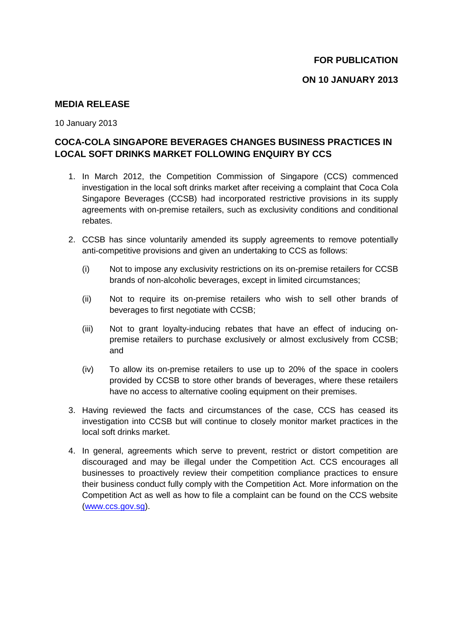## **MEDIA RELEASE**

10 January 2013

## **COCA-COLA SINGAPORE BEVERAGES CHANGES BUSINESS PRACTICES IN LOCAL SOFT DRINKS MARKET FOLLOWING ENQUIRY BY CCS**

- 1. In March 2012, the Competition Commission of Singapore (CCS) commenced investigation in the local soft drinks market after receiving a complaint that Coca Cola Singapore Beverages (CCSB) had incorporated restrictive provisions in its supply agreements with on-premise retailers, such as exclusivity conditions and conditional rebates.
- 2. CCSB has since voluntarily amended its supply agreements to remove potentially anti-competitive provisions and given an undertaking to CCS as follows:
	- (i) Not to impose any exclusivity restrictions on its on-premise retailers for CCSB brands of non-alcoholic beverages, except in limited circumstances;
	- (ii) Not to require its on-premise retailers who wish to sell other brands of beverages to first negotiate with CCSB;
	- (iii) Not to grant loyalty-inducing rebates that have an effect of inducing onpremise retailers to purchase exclusively or almost exclusively from CCSB; and
	- (iv) To allow its on-premise retailers to use up to 20% of the space in coolers provided by CCSB to store other brands of beverages, where these retailers have no access to alternative cooling equipment on their premises.
- 3. Having reviewed the facts and circumstances of the case, CCS has ceased its investigation into CCSB but will continue to closely monitor market practices in the local soft drinks market.
- 4. In general, agreements which serve to prevent, restrict or distort competition are discouraged and may be illegal under the Competition Act. CCS encourages all businesses to proactively review their competition compliance practices to ensure their business conduct fully comply with the Competition Act. More information on the Competition Act as well as how to file a complaint can be found on the CCS website [\(www.ccs.gov.sg\)](http://www.ccs.gov.sg/).